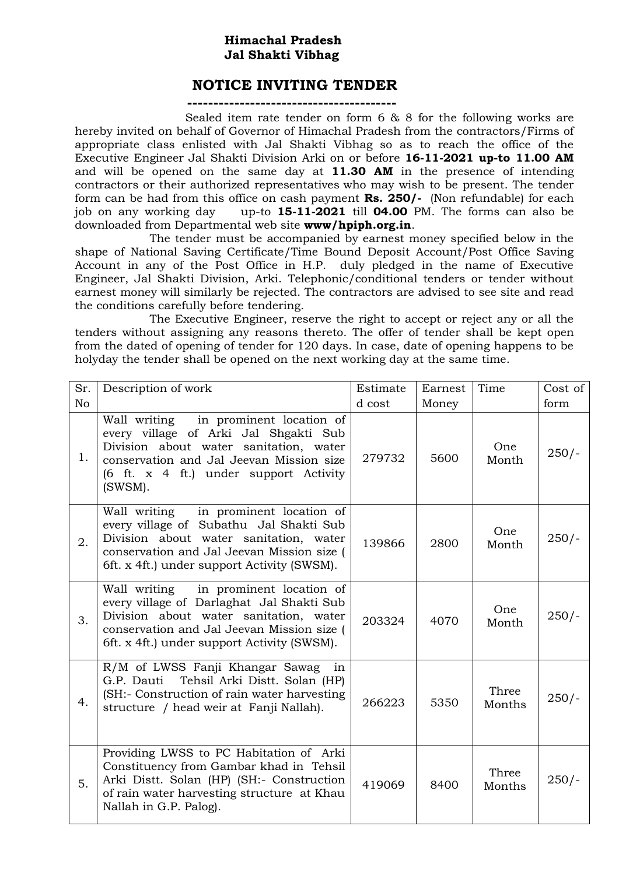## **Himachal Pradesh Jal Shakti Vibhag**

## **NOTICE INVITING TENDER**

**----------------------------------------**

 Sealed item rate tender on form 6 & 8 for the following works are hereby invited on behalf of Governor of Himachal Pradesh from the contractors/Firms of appropriate class enlisted with Jal Shakti Vibhag so as to reach the office of the Executive Engineer Jal Shakti Division Arki on or before **16-11-2021 up-to 11.00 AM**  and will be opened on the same day at **11.30 AM** in the presence of intending contractors or their authorized representatives who may wish to be present. The tender form can be had from this office on cash payment **Rs. 250/-** (Non refundable) for each job on any working day up-to **15-11-2021** till **04.00** PM. The forms can also be downloaded from Departmental web site **www/hpiph.org.in**.

The tender must be accompanied by earnest money specified below in the shape of National Saving Certificate/Time Bound Deposit Account/Post Office Saving Account in any of the Post Office in H.P. duly pledged in the name of Executive Engineer, Jal Shakti Division, Arki. Telephonic/conditional tenders or tender without earnest money will similarly be rejected. The contractors are advised to see site and read the conditions carefully before tendering.

The Executive Engineer, reserve the right to accept or reject any or all the tenders without assigning any reasons thereto. The offer of tender shall be kept open from the dated of opening of tender for 120 days. In case, date of opening happens to be holyday the tender shall be opened on the next working day at the same time.

| Sr.            | Description of work                                                                                                                                                                                                          | Estimate | Earnest | Time            | Cost of |
|----------------|------------------------------------------------------------------------------------------------------------------------------------------------------------------------------------------------------------------------------|----------|---------|-----------------|---------|
| N <sub>o</sub> |                                                                                                                                                                                                                              | d cost   | Money   |                 | form    |
| 1.             | in prominent location of<br>Wall writing<br>every village of Arki Jal Shgakti Sub<br>Division about water sanitation, water<br>conservation and Jal Jeevan Mission size<br>(6 ft. x 4 ft.) under support Activity<br>(SWSM). | 279732   | 5600    | One<br>Month    | $250/-$ |
| 2.             | Wall writing in prominent location of<br>every village of Subathu Jal Shakti Sub<br>Division about water sanitation, water<br>conservation and Jal Jeevan Mission size (<br>6ft. x 4ft.) under support Activity (SWSM).      | 139866   | 2800    | One<br>Month    | $250/-$ |
| 3.             | Wall writing in prominent location of<br>every village of Darlaghat Jal Shakti Sub<br>Division about water sanitation, water<br>conservation and Jal Jeevan Mission size (<br>6ft. x 4ft.) under support Activity (SWSM).    | 203324   | 4070    | One<br>Month    | $250/-$ |
| 4.             | R/M of LWSS Fanji Khangar Sawag<br>in<br>G.P. Dauti Tehsil Arki Distt. Solan (HP)<br>(SH:- Construction of rain water harvesting<br>structure / head weir at Fanji Nallah).                                                  | 266223   | 5350    | Three<br>Months | $250/-$ |
| 5.             | Providing LWSS to PC Habitation of Arki<br>Constituency from Gambar khad in Tehsil<br>Arki Distt. Solan (HP) (SH:- Construction<br>of rain water harvesting structure at Khau<br>Nallah in G.P. Palog).                      | 419069   | 8400    | Three<br>Months | $250/-$ |